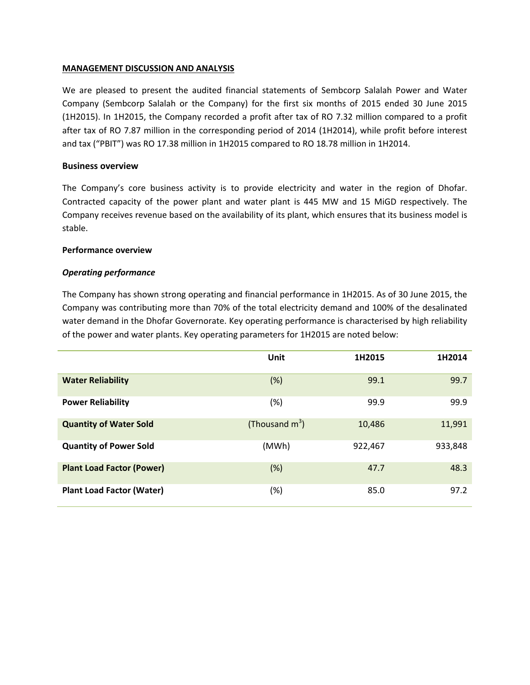## **MANAGEMENT DISCUSSION AND ANALYSIS**

We are pleased to present the audited financial statements of Sembcorp Salalah Power and Water Company (Sembcorp Salalah or the Company) for the first six months of 2015 ended 30 June 2015 (1H2015). In 1H2015, the Company recorded a profit after tax of RO 7.32 million compared to a profit after tax of RO 7.87 million in the corresponding period of 2014 (1H2014), while profit before interest and tax ("PBIT") was RO 17.38 million in 1H2015 compared to RO 18.78 million in 1H2014.

## **Business overview**

The Company's core business activity is to provide electricity and water in the region of Dhofar. Contracted capacity of the power plant and water plant is 445 MW and 15 MiGD respectively. The Company receives revenue based on the availability of its plant, which ensures that its business model is stable.

## **Performance overview**

## *Operating performance*

The Company has shown strong operating and financial performance in 1H2015. As of 30 June 2015, the Company was contributing more than 70% of the total electricity demand and 100% of the desalinated water demand in the Dhofar Governorate. Key operating performance is characterised by high reliability of the power and water plants. Key operating parameters for 1H2015 are noted below:

|                                  | Unit              | 1H2015  | 1H2014  |
|----------------------------------|-------------------|---------|---------|
| <b>Water Reliability</b>         | (%)               | 99.1    | 99.7    |
| <b>Power Reliability</b>         | $(\%)$            | 99.9    | 99.9    |
| <b>Quantity of Water Sold</b>    | (Thousand $m^3$ ) | 10,486  | 11,991  |
| <b>Quantity of Power Sold</b>    | (MWh)             | 922,467 | 933,848 |
| <b>Plant Load Factor (Power)</b> | (%)               | 47.7    | 48.3    |
| <b>Plant Load Factor (Water)</b> | (%)               | 85.0    | 97.2    |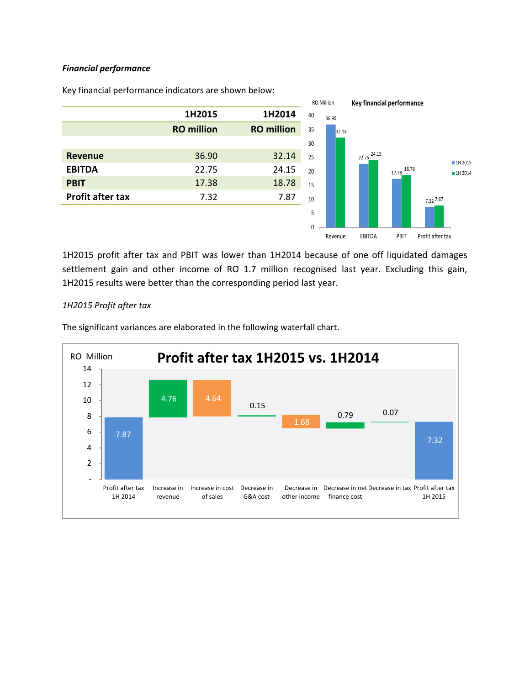## *Financial performance*



Key financial performance indicators are shown below:

1H2015 profit after tax and PBIT was lower than 1H2014 because of one off liquidated damages settlement gain and other income of RO 1.7 million recognised last year. Excluding this gain, 1H2015 results were better than the corresponding period last year.

## *1H2015 Profit after tax*

The significant variances are elaborated in the following waterfall chart.

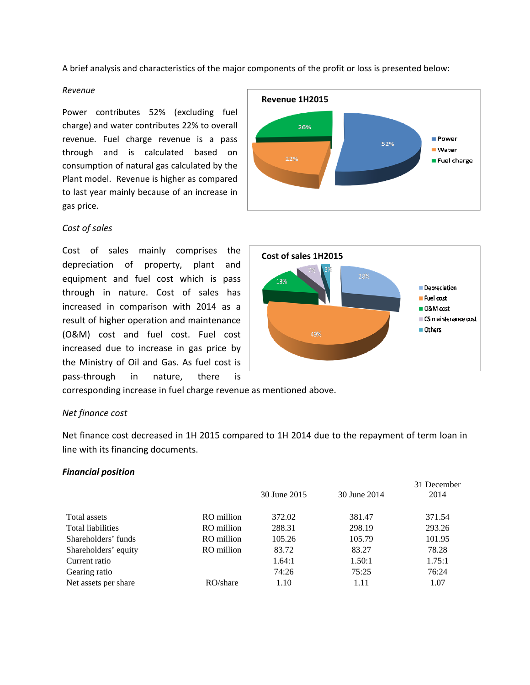A brief analysis and characteristics of the major components of the profit or loss is presented below:

#### *Revenue*

Power contributes 52% (excluding fuel charge) and water contributes 22% to overall revenue. Fuel charge revenue is a pass through and is calculated based on consumption of natural gas calculated by the Plant model. Revenue is higher as compared to last year mainly because of an increase in gas price.

## *Cost of sales*

Cost of sales mainly comprises the depreciation of property, plant and equipment and fuel cost which is pass through in nature. Cost of sales has increased in comparison with 2014 as a result of higher operation and maintenance (O&M) cost and fuel cost. Fuel cost increased due to increase in gas price by the Ministry of Oil and Gas. As fuel cost is pass‐through in nature, there is





corresponding increase in fuel charge revenue as mentioned above.

## *Net finance cost*

Net finance cost decreased in 1H 2015 compared to 1H 2014 due to the repayment of term loan in line with its financing documents.

#### *Financial position*

|                      |            |              |              | 31 December |  |
|----------------------|------------|--------------|--------------|-------------|--|
|                      |            | 30 June 2015 | 30 June 2014 | 2014        |  |
| Total assets         | RO million | 372.02       | 381.47       | 371.54      |  |
| Total liabilities    | RO million | 288.31       | 298.19       | 293.26      |  |
| Shareholders' funds  | RO million | 105.26       | 105.79       | 101.95      |  |
| Shareholders' equity | RO million | 83.72        | 83.27        | 78.28       |  |
| Current ratio        |            | 1.64:1       | 1.50:1       | 1.75:1      |  |
| Gearing ratio        |            | 74:26        | 75:25        | 76:24       |  |
| Net assets per share | RO/share   | 1.10         | 1.11         | 1.07        |  |